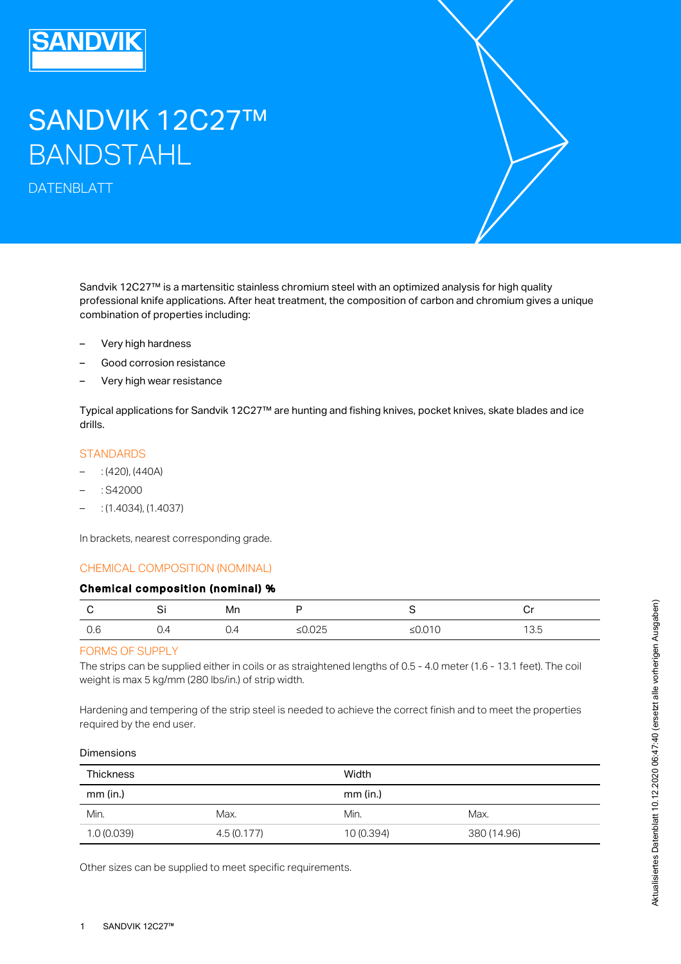# SANDVIK 12C27™ BANDSTAHL

DATENBLATT

Sandvik 12C27™ is a martensitic stainless chromium steel with an optimized analysis for high quality professional knife applications. After heat treatment, the composition of carbon and chromium gives a unique combination of properties including:

- Very high hardness
- Good corrosion resistance
- Very high wear resistance

Typical applications for Sandvik 12C27™ are hunting and fishing knives, pocket knives, skate blades and ice drills.

### **STANDARDS**

- $-$  : (420), (440A)
- : S42000
- $(1.4034)$ ,  $(1.4037)$

In brackets, nearest corresponding grade.

### CHEMICAL COMPOSITION (NOMINAL)

### Chemical composition (nominal) %

|     | ا ب | Mn  |          |                     |            |
|-----|-----|-----|----------|---------------------|------------|
| U.b | U.4 | U.4 | $≤0.025$ | $\bigcap$<br>20.010 | 12E<br>ن.ب |

#### FORMS OF SUPPLY

The strips can be supplied either in coils or as straightened lengths of 0.5 - 4.0 meter (1.6 - 13.1 feet). The coil weight is max 5 kg/mm (280 lbs/in.) of strip width.

Hardening and tempering of the strip steel is needed to achieve the correct finish and to meet the properties required by the end user.

#### Dimensions

| <b>Thickness</b> |             | Width      |             |
|------------------|-------------|------------|-------------|
| $mm$ (in.)       |             | $mm$ (in.) |             |
| Min.             | Max.        | Min.       | Max.        |
| 1.0(0.039)       | 4.5 (0.177) | 10 (0.394) | 380 (14.96) |

Other sizes can be supplied to meet specific requirements.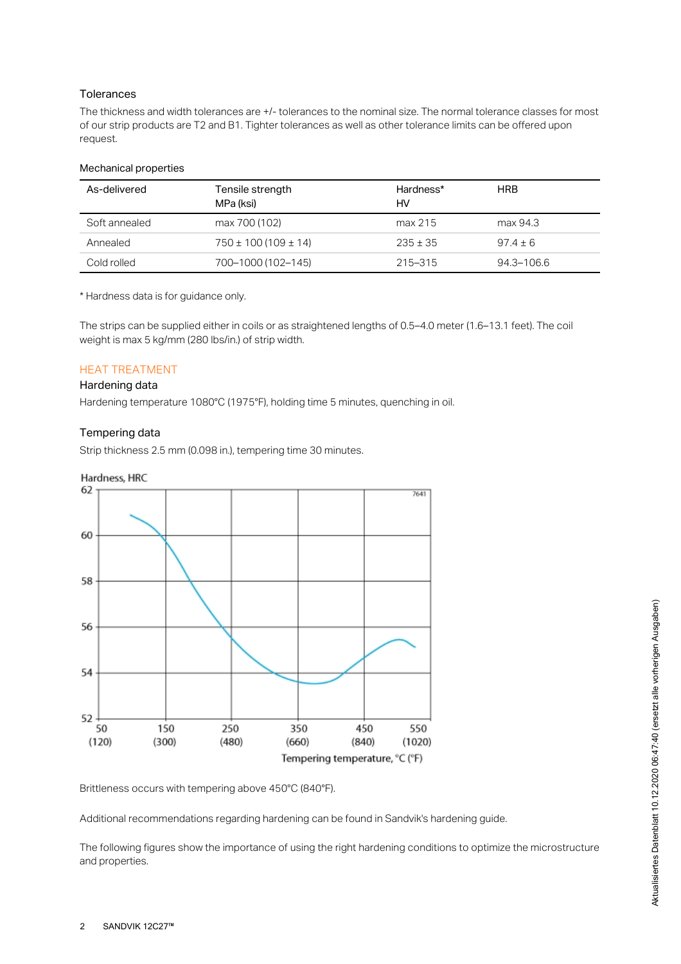# Tolerances

The thickness and width tolerances are +/- tolerances to the nominal size. The normal tolerance classes for most of our strip products are T2 and B1. Tighter tolerances as well as other tolerance limits can be offered upon request.

### Mechanical properties

| As-delivered  | Tensile strength<br>MPa (ksi) | Hardness*<br>HV | <b>HRB</b>     |
|---------------|-------------------------------|-----------------|----------------|
| Soft annealed | max 700 (102)                 | max 215         | max 94.3       |
| Annealed      | $750 \pm 100(109 \pm 14)$     | $235 \pm 35$    | $97.4 + 6$     |
| Cold rolled   | 700-1000 (102-145)            | 215-315         | $94.3 - 106.6$ |

\* Hardness data is for guidance only.

The strips can be supplied either in coils or as straightened lengths of 0.5–4.0 meter (1.6–13.1 feet). The coil weight is max 5 kg/mm (280 lbs/in.) of strip width.

## HEAT TREATMENT

#### Hardening data

Hardening temperature 1080°C (1975°F), holding time 5 minutes, quenching in oil.

## Tempering data

Strip thickness 2.5 mm (0.098 in.), tempering time 30 minutes.

## Hardness, HRC



Brittleness occurs with tempering above 450°C (840°F).

Additional recommendations regarding hardening can be found in Sandvik's hardening guide.

The following figures show the importance of using the right hardening conditions to optimize the microstructure and properties.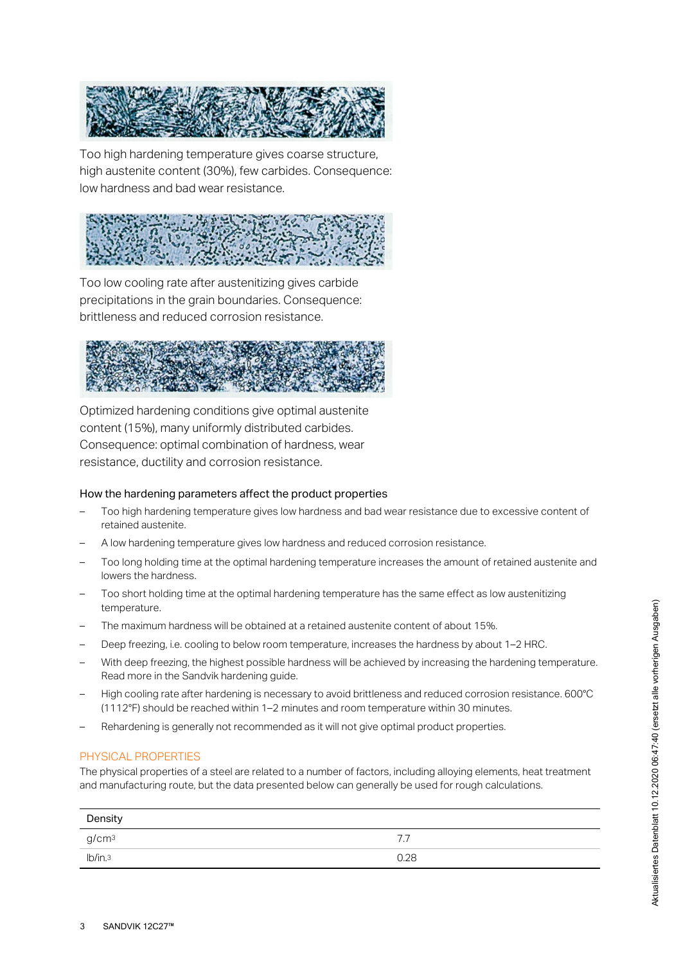

Too high hardening temperature gives coarse structure, high austenite content (30%), few carbides. Consequence: low hardness and bad wear resistance.



Too low cooling rate after austenitizing gives carbide precipitations in the grain boundaries. Consequence: brittleness and reduced corrosion resistance.



Optimized hardening conditions give optimal austenite content (15%), many uniformly distributed carbides. Consequence: optimal combination of hardness, wear resistance, ductility and corrosion resistance.

## How the hardening parameters affect the product properties

- Too high hardening temperature gives low hardness and bad wear resistance due to excessive content of retained austenite. –
- A low hardening temperature gives low hardness and reduced corrosion resistance.
- Too long holding time at the optimal hardening temperature increases the amount of retained austenite and lowers the hardness. –
- Too short holding time at the optimal hardening temperature has the same effect as low austenitizing temperature. –
- The maximum hardness will be obtained at a retained austenite content of about 15%.
- Deep freezing, i.e. cooling to below room temperature, increases the hardness by about 1–2 HRC.
- With deep freezing, the highest possible hardness will be achieved by increasing the hardening temperature. Read more in the Sandvik hardening guide. –
- High cooling rate after hardening is necessary to avoid brittleness and reduced corrosion resistance. 600°C (1112°F) should be reached within 1–2 minutes and room temperature within 30 minutes. –
- Rehardening is generally not recommended as it will not give optimal product properties.

## PHYSICAL PROPERTIES

The physical properties of a steel are related to a number of factors, including alloying elements, heat treatment and manufacturing route, but the data presented below can generally be used for rough calculations.

| Density |      |
|---------|------|
| g/cm3   | 77   |
| lb/in.3 | 0.28 |